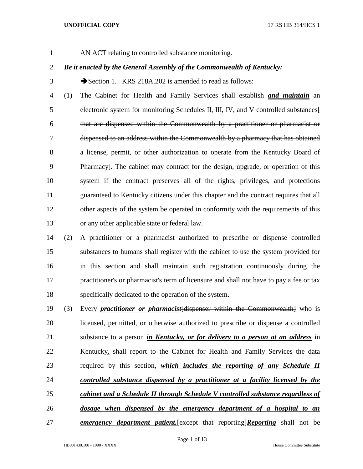AN ACT relating to controlled substance monitoring.

# *Be it enacted by the General Assembly of the Commonwealth of Kentucky:*

3 Section 1. KRS 218A.202 is amended to read as follows:

 (1) The Cabinet for Health and Family Services shall establish *and maintain* an electronic system for monitoring Schedules II, III, IV, and V controlled substances[ that are dispensed within the Commonwealth by a practitioner or pharmacist or dispensed to an address within the Commonwealth by a pharmacy that has obtained 8 a license, permit, or other authorization to operate from the Kentucky Board of Pharmacy]. The cabinet may contract for the design, upgrade, or operation of this system if the contract preserves all of the rights, privileges, and protections guaranteed to Kentucky citizens under this chapter and the contract requires that all 12 other aspects of the system be operated in conformity with the requirements of this or any other applicable state or federal law.

- (2) A practitioner or a pharmacist authorized to prescribe or dispense controlled substances to humans shall register with the cabinet to use the system provided for in this section and shall maintain such registration continuously during the practitioner's or pharmacist's term of licensure and shall not have to pay a fee or tax specifically dedicated to the operation of the system.
- (3) Every *practitioner or pharmacist*[dispenser within the Commonwealth] who is licensed, permitted, or otherwise authorized to prescribe or dispense a controlled substance to a person *in Kentucky, or for delivery to a person at an address* in Kentucky*,* shall report to the Cabinet for Health and Family Services the data required by this section, *which includes the reporting of any Schedule II controlled substance dispensed by a practitioner at a facility licensed by the cabinet and a Schedule II through Schedule V controlled substance regardless of dosage when dispensed by the emergency department of a hospital to an emergency department patient.*[except that reporting]*Reporting* shall not be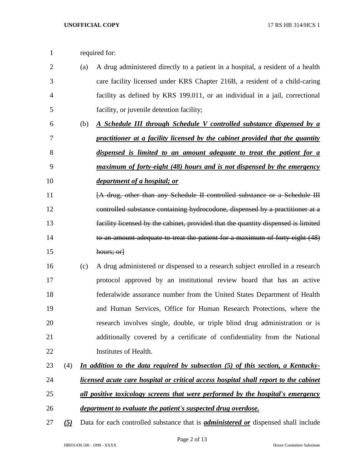| required for: |  |
|---------------|--|
|               |  |

- (a) A drug administered directly to a patient in a hospital, a resident of a health care facility licensed under KRS Chapter 216B, a resident of a child-caring facility as defined by KRS 199.011, or an individual in a jail, correctional facility, or juvenile detention facility;
- (b) *A Schedule III through Schedule V controlled substance dispensed by a practitioner at a facility licensed by the cabinet provided that the quantity dispensed is limited to an amount adequate to treat the patient for a maximum of forty-eight (48) hours and is not dispensed by the emergency*
- *department of a hospital; or*

11 [A drug, other than any Schedule II controlled substance or a Schedule III controlled substance containing hydrocodone, dispensed by a practitioner at a facility licensed by the cabinet, provided that the quantity dispensed is limited to an amount adequate to treat the patient for a maximum of forty-eight (48) hours; or]

- (c) A drug administered or dispensed to a research subject enrolled in a research protocol approved by an institutional review board that has an active federalwide assurance number from the United States Department of Health and Human Services, Office for Human Research Protections, where the research involves single, double, or triple blind drug administration or is additionally covered by a certificate of confidentiality from the National Institutes of Health.
- (4) *In addition to the data required by subsection (5) of this section, a Kentucky-licensed acute care hospital or critical access hospital shall report to the cabinet*
- *all positive toxicology screens that were performed by the hospital's emergency*
- *department to evaluate the patient's suspected drug overdose.*
- *(5)* Data for each controlled substance that is *administered or* dispensed shall include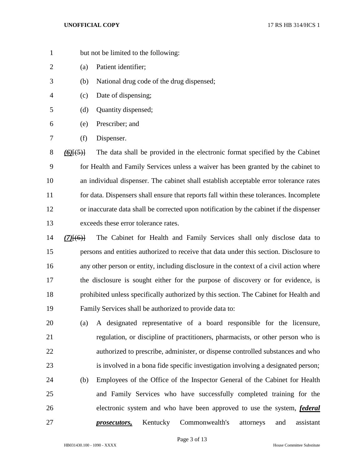- but not be limited to the following:
- (a) Patient identifier;
- (b) National drug code of the drug dispensed;
- (c) Date of dispensing;
- (d) Quantity dispensed;
- (e) Prescriber; and
- (f) Dispenser.

 *(6)*[(5)] The data shall be provided in the electronic format specified by the Cabinet for Health and Family Services unless a waiver has been granted by the cabinet to an individual dispenser. The cabinet shall establish acceptable error tolerance rates for data. Dispensers shall ensure that reports fall within these tolerances. Incomplete or inaccurate data shall be corrected upon notification by the cabinet if the dispenser exceeds these error tolerance rates.

- *(7)*[(6)] The Cabinet for Health and Family Services shall only disclose data to persons and entities authorized to receive that data under this section. Disclosure to any other person or entity, including disclosure in the context of a civil action where the disclosure is sought either for the purpose of discovery or for evidence, is prohibited unless specifically authorized by this section. The Cabinet for Health and Family Services shall be authorized to provide data to:
- (a) A designated representative of a board responsible for the licensure, regulation, or discipline of practitioners, pharmacists, or other person who is authorized to prescribe, administer, or dispense controlled substances and who is involved in a bona fide specific investigation involving a designated person; (b) Employees of the Office of the Inspector General of the Cabinet for Health and Family Services who have successfully completed training for the electronic system and who have been approved to use the system, *federal prosecutors,* Kentucky Commonwealth's attorneys and assistant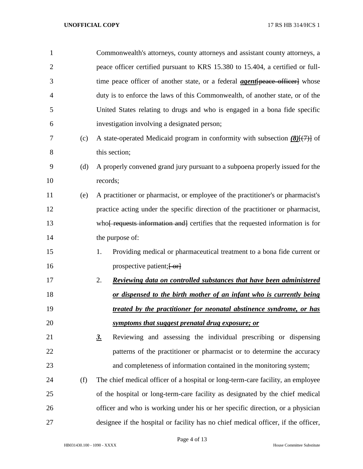| $\mathbf{1}$   |     | Commonwealth's attorneys, county attorneys and assistant county attorneys, a               |
|----------------|-----|--------------------------------------------------------------------------------------------|
| $\overline{2}$ |     | peace officer certified pursuant to KRS 15.380 to 15.404, a certified or full-             |
| 3              |     | time peace officer of another state, or a federal <i>agent</i> [peace officer] whose       |
| 4              |     | duty is to enforce the laws of this Commonwealth, of another state, or of the              |
| 5              |     | United States relating to drugs and who is engaged in a bona fide specific                 |
| 6              |     | investigation involving a designated person;                                               |
| 7              | (c) | A state-operated Medicaid program in conformity with subsection $(8)$ $(7)$ of             |
| 8              |     | this section;                                                                              |
| 9              | (d) | A properly convened grand jury pursuant to a subpoena properly issued for the              |
| 10             |     | records;                                                                                   |
| 11             | (e) | A practitioner or pharmacist, or employee of the practitioner's or pharmacist's            |
| 12             |     | practice acting under the specific direction of the practitioner or pharmacist,            |
| 13             |     | who <del>[ requests information and]</del> certifies that the requested information is for |
| 14             |     | the purpose of:                                                                            |
| 15             |     | Providing medical or pharmaceutical treatment to a bona fide current or<br>1.              |
| 16             |     | prospective patient; $\left\{ -\text{or} \right\}$                                         |
| 17             |     | 2.<br>Reviewing data on controlled substances that have been administered                  |
| 18             |     | or dispensed to the birth mother of an infant who is currently being                       |
| 19             |     | treated by the practitioner for neonatal abstinence syndrome, or has                       |
| 20             |     | symptoms that suggest prenatal drug exposure; or                                           |
| 21             |     | Reviewing and assessing the individual prescribing or dispensing<br>$\underline{3}$ .      |
| 22             |     | patterns of the practitioner or pharmacist or to determine the accuracy                    |
| 23             |     | and completeness of information contained in the monitoring system;                        |
| 24             | (f) | The chief medical officer of a hospital or long-term-care facility, an employee            |
| 25             |     | of the hospital or long-term-care facility as designated by the chief medical              |
| 26             |     | officer and who is working under his or her specific direction, or a physician             |
| 27             |     | designee if the hospital or facility has no chief medical officer, if the officer,         |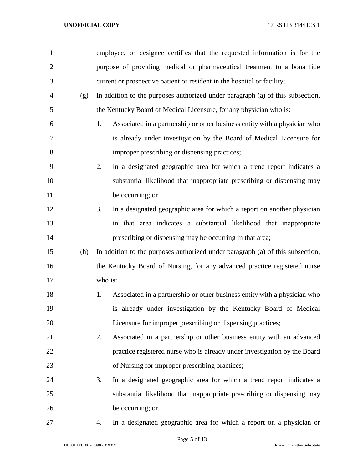| 1              |     | employee, or designee certifies that the requested information is for the       |
|----------------|-----|---------------------------------------------------------------------------------|
| $\overline{2}$ |     | purpose of providing medical or pharmaceutical treatment to a bona fide         |
| 3              |     | current or prospective patient or resident in the hospital or facility;         |
| $\overline{4}$ | (g) | In addition to the purposes authorized under paragraph (a) of this subsection,  |
| 5              |     | the Kentucky Board of Medical Licensure, for any physician who is:              |
| 6              |     | Associated in a partnership or other business entity with a physician who<br>1. |
| 7              |     | is already under investigation by the Board of Medical Licensure for            |
| 8              |     | improper prescribing or dispensing practices;                                   |
| 9              |     | 2.<br>In a designated geographic area for which a trend report indicates a      |
| 10             |     | substantial likelihood that inappropriate prescribing or dispensing may         |
| 11             |     | be occurring; or                                                                |
| 12             |     | In a designated geographic area for which a report on another physician<br>3.   |
| 13             |     | in that area indicates a substantial likelihood that inappropriate              |
| 14             |     | prescribing or dispensing may be occurring in that area;                        |
| 15             | (h) | In addition to the purposes authorized under paragraph (a) of this subsection,  |
| 16             |     | the Kentucky Board of Nursing, for any advanced practice registered nurse       |
| 17             |     | who is:                                                                         |
| 18             |     | Associated in a partnership or other business entity with a physician who<br>1. |
| 19             |     | is already under investigation by the Kentucky Board of Medical                 |
| 20             |     | Licensure for improper prescribing or dispensing practices;                     |
| 21             |     | Associated in a partnership or other business entity with an advanced<br>2.     |
| 22             |     | practice registered nurse who is already under investigation by the Board       |
| 23             |     | of Nursing for improper prescribing practices;                                  |
| 24             |     | In a designated geographic area for which a trend report indicates a<br>3.      |
| 25             |     | substantial likelihood that inappropriate prescribing or dispensing may         |
| 26             |     | be occurring; or                                                                |
| 27             |     | In a designated geographic area for which a report on a physician or<br>4.      |

Page 5 of 13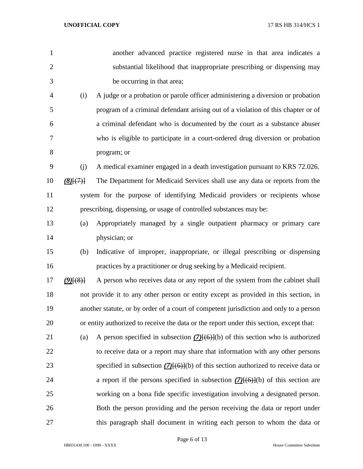| $\mathbf{1}$   |             | another advanced practice registered nurse in that area indicates a                     |
|----------------|-------------|-----------------------------------------------------------------------------------------|
| $\overline{2}$ |             | substantial likelihood that inappropriate prescribing or dispensing may                 |
| 3              |             | be occurring in that area;                                                              |
| $\overline{4}$ | (i)         | A judge or a probation or parole officer administering a diversion or probation         |
| 5              |             | program of a criminal defendant arising out of a violation of this chapter or of        |
| 6              |             | a criminal defendant who is documented by the court as a substance abuser               |
| 7              |             | who is eligible to participate in a court-ordered drug diversion or probation           |
| 8              |             | program; or                                                                             |
| 9              | (j)         | A medical examiner engaged in a death investigation pursuant to KRS 72.026.             |
| 10             | (8)(7)      | The Department for Medicaid Services shall use any data or reports from the             |
| 11             |             | system for the purpose of identifying Medicaid providers or recipients whose            |
| 12             |             | prescribing, dispensing, or usage of controlled substances may be:                      |
| 13             | (a)         | Appropriately managed by a single outpatient pharmacy or primary care                   |
| 14             |             | physician; or                                                                           |
| 15             | (b)         | Indicative of improper, inappropriate, or illegal prescribing or dispensing             |
| 16             |             | practices by a practitioner or drug seeking by a Medicaid recipient.                    |
| 17             | $(9)$ $(8)$ | A person who receives data or any report of the system from the cabinet shall           |
| 18             |             | not provide it to any other person or entity except as provided in this section, in     |
| 19             |             | another statute, or by order of a court of competent jurisdiction and only to a person  |
| 20             |             | or entity authorized to receive the data or the report under this section, except that: |
| 21             | (a)         | A person specified in subsection $(7)(6)(6)$ of this section who is authorized          |
| 22             |             | to receive data or a report may share that information with any other persons           |
| 23             |             | specified in subsection $(7)(6)(6)$ of this section authorized to receive data or       |
| 24             |             | a report if the persons specified in subsection $(7)$ [ $(6)$ ](b) of this section are  |
| 25             |             | working on a bona fide specific investigation involving a designated person.            |
| 26             |             | Both the person providing and the person receiving the data or report under             |
| 27             |             | this paragraph shall document in writing each person to whom the data or                |

Page 6 of 13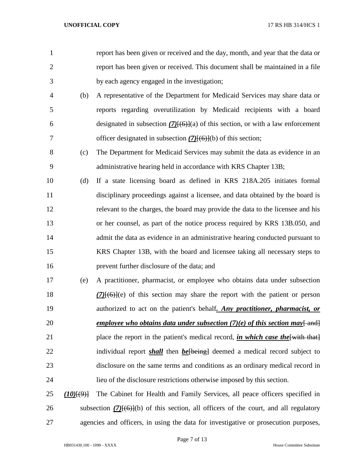| 1              |                | report has been given or received and the day, month, and year that the data or                 |
|----------------|----------------|-------------------------------------------------------------------------------------------------|
| $\overline{2}$ |                | report has been given or received. This document shall be maintained in a file                  |
| 3              |                | by each agency engaged in the investigation;                                                    |
| $\overline{4}$ | (b)            | A representative of the Department for Medicaid Services may share data or                      |
| 5              |                | reports regarding overutilization by Medicaid recipients with a board                           |
| 6              |                | designated in subsection $(7)(6)(a)$ of this section, or with a law enforcement                 |
| 7              |                | officer designated in subsection $(7)(6)$ (b) of this section;                                  |
| 8              | (c)            | The Department for Medicaid Services may submit the data as evidence in an                      |
| 9              |                | administrative hearing held in accordance with KRS Chapter 13B;                                 |
| 10             | (d)            | If a state licensing board as defined in KRS 218A.205 initiates formal                          |
| 11             |                | disciplinary proceedings against a licensee, and data obtained by the board is                  |
| 12             |                | relevant to the charges, the board may provide the data to the licensee and his                 |
| 13             |                | or her counsel, as part of the notice process required by KRS 13B.050, and                      |
| 14             |                | admit the data as evidence in an administrative hearing conducted pursuant to                   |
| 15             |                | KRS Chapter 13B, with the board and licensee taking all necessary steps to                      |
| 16             |                | prevent further disclosure of the data; and                                                     |
| 17             | (e)            | A practitioner, pharmacist, or employee who obtains data under subsection                       |
| 18             |                | $(7)$ $(6)$ $(6)$ of this section may share the report with the patient or person               |
| 19             |                | authorized to act on the patient's behalf. Any practitioner, pharmacist, or                     |
| 20             |                | <u>employee who obtains data under subsection <math>(7)(e)</math> of this section may {end}</u> |
| 21             |                | place the report in the patient's medical record, in which case the with that                   |
| 22             |                | individual report <i>shall</i> then <i>be</i> [being] deemed a medical record subject to        |
| 23             |                | disclosure on the same terms and conditions as an ordinary medical record in                    |
| 24             |                | lieu of the disclosure restrictions otherwise imposed by this section.                          |
| 25             | $(10)$ $(9)$ } | The Cabinet for Health and Family Services, all peace officers specified in                     |
| 26             |                | subsection $(7)(6)(b)$ of this section, all officers of the court, and all regulatory           |
| 27             |                | agencies and officers, in using the data for investigative or prosecution purposes,             |

HB031430.100 - 1090 - XXXX House Committee Substitute

Page 7 of 13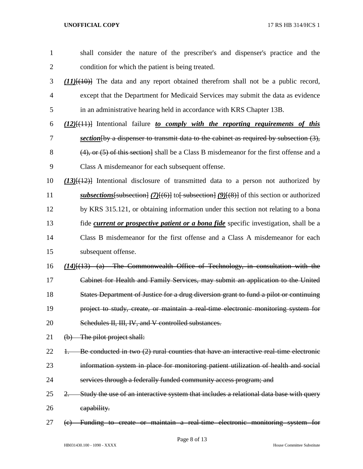| $\mathbf{1}$   | shall consider the nature of the prescriber's and dispenser's practice and the                      |
|----------------|-----------------------------------------------------------------------------------------------------|
| $\overline{2}$ | condition for which the patient is being treated.                                                   |
| 3              | $(11)$ [ $(10)$ ] The data and any report obtained therefrom shall not be a public record,          |
| $\overline{4}$ | except that the Department for Medicaid Services may submit the data as evidence                    |
| 5              | in an administrative hearing held in accordance with KRS Chapter 13B.                               |
| 6              | $(12)$ [ $(11)$ ] Intentional failure to comply with the reporting requirements of this             |
| 7              | section $\{by\}$ a dispenser to transmit data to the cabinet as required by subsection $(3)$ ,      |
| 8              | $(4)$ , or $(5)$ of this section. Shall be a Class B misdemeanor for the first offense and a        |
| 9              | Class A misdemeanor for each subsequent offense.                                                    |
| 10             | $(13)$ [ $(12)$ ] Intentional disclosure of transmitted data to a person not authorized by          |
| 11             | subsections [subsection] $(7)$ [(6)] to[ subsection] $(9)$ [(8)] of this section or authorized      |
| 12             | by KRS 315.121, or obtaining information under this section not relating to a bona                  |
| 13             | fide <i>current or prospective patient or a bona fide</i> specific investigation, shall be a        |
| 14             | Class B misdemeanor for the first offense and a Class A misdemeanor for each                        |
| 15             | subsequent offense.                                                                                 |
| 16             | $(14)$ [ $(13)$ $(a)$ The Commonwealth Office of Technology, in consultation with the               |
| 17             | Cabinet for Health and Family Services, may submit an application to the United                     |
| 18             | States Department of Justice for a drug diversion grant to fund a pilot or continuing               |
| 19             | project to study, create, or maintain a real-time electronic monitoring system for                  |
| 20             | Schedules II, III, IV, and V controlled substances.                                                 |
| 21             | (b) The pilot project shall:                                                                        |
| 22             | Be conducted in two (2) rural counties that have an interactive real-time electronic<br>$+$         |
| 23             | information system in place for monitoring patient utilization of health and social                 |
| 24             | services through a federally funded community access program; and                                   |
| 25             | Study the use of an interactive system that includes a relational data base with query<br><u>2.</u> |
| 26             | eapability.                                                                                         |
| 27             | (e) Funding to create or maintain a real-time electronic monitoring system for                      |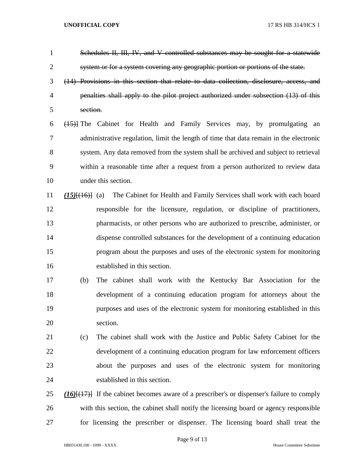| $\mathbf{1}$   | Schedules II, III, IV, and V controlled substances may be sought for a statewide                 |
|----------------|--------------------------------------------------------------------------------------------------|
| $\overline{2}$ | system or for a system covering any geographic portion or portions of the state.                 |
| 3              | (14) Provisions in this section that relate to data collection, disclosure, access, and          |
| $\overline{4}$ | penalties shall apply to the pilot project authorized under subsection (13) of this              |
| 5              | section.                                                                                         |
| 6              | (15) The Cabinet for Health and Family Services may, by promulgating an                          |
| 7              | administrative regulation, limit the length of time that data remain in the electronic           |
| 8              | system. Any data removed from the system shall be archived and subject to retrieval              |
| 9              | within a reasonable time after a request from a person authorized to review data                 |
| 10             | under this section.                                                                              |
| 11             | The Cabinet for Health and Family Services shall work with each board<br>$(15)$ $\{ (16)$ $(16)$ |
| 12             | responsible for the licensure, regulation, or discipline of practitioners,                       |
| 13             | pharmacists, or other persons who are authorized to prescribe, administer, or                    |
| 14             | dispense controlled substances for the development of a continuing education                     |
| 15             | program about the purposes and uses of the electronic system for monitoring                      |
| 16             | established in this section.                                                                     |
| 17             | The cabinet shall work with the Kentucky Bar Association for the<br>(b)                          |
| 18             | development of a continuing education program for attorneys about the                            |
| 19             | purposes and uses of the electronic system for monitoring established in this                    |
| 20             | section.                                                                                         |
| 21             | The cabinet shall work with the Justice and Public Safety Cabinet for the<br>(c)                 |
| 22             | development of a continuing education program for law enforcement officers                       |
| 23             | about the purposes and uses of the electronic system for monitoring                              |
| 24             | established in this section.                                                                     |
| 25             | $(16)$ (17) If the cabinet becomes aware of a prescriber's or dispenser's failure to comply      |
| 26             | with this section, the cabinet shall notify the licensing board or agency responsible            |
| 27             | for licensing the prescriber or dispenser. The licensing board shall treat the                   |

HB031430.100 - 1090 - XXXX House Committee Substitute

Page 9 of 13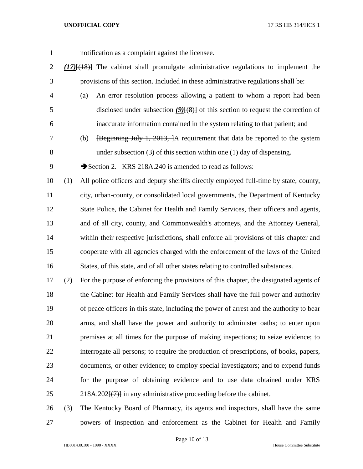- notification as a complaint against the licensee. *(17)*[(18)] The cabinet shall promulgate administrative regulations to implement the provisions of this section. Included in these administrative regulations shall be: (a) An error resolution process allowing a patient to whom a report had been
- 5 disclosed under subsection *(9)*[(8)] of this section to request the correction of inaccurate information contained in the system relating to that patient; and
- (b) [Beginning July 1, 2013, ]A requirement that data be reported to the system under subsection (3) of this section within one (1) day of dispensing.
- 9 Section 2. KRS 218A.240 is amended to read as follows:

 (1) All police officers and deputy sheriffs directly employed full-time by state, county, city, urban-county, or consolidated local governments, the Department of Kentucky State Police, the Cabinet for Health and Family Services, their officers and agents, and of all city, county, and Commonwealth's attorneys, and the Attorney General, within their respective jurisdictions, shall enforce all provisions of this chapter and cooperate with all agencies charged with the enforcement of the laws of the United States, of this state, and of all other states relating to controlled substances.

 (2) For the purpose of enforcing the provisions of this chapter, the designated agents of the Cabinet for Health and Family Services shall have the full power and authority of peace officers in this state, including the power of arrest and the authority to bear arms, and shall have the power and authority to administer oaths; to enter upon premises at all times for the purpose of making inspections; to seize evidence; to interrogate all persons; to require the production of prescriptions, of books, papers, documents, or other evidence; to employ special investigators; and to expend funds for the purpose of obtaining evidence and to use data obtained under KRS 25 218A.202 $\left\{\left(\frac{7}{7}\right)\right\}$  in any administrative proceeding before the cabinet.

 (3) The Kentucky Board of Pharmacy, its agents and inspectors, shall have the same powers of inspection and enforcement as the Cabinet for Health and Family

Page 10 of 13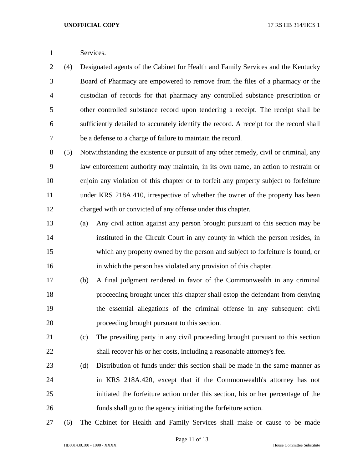Services.

 (4) Designated agents of the Cabinet for Health and Family Services and the Kentucky Board of Pharmacy are empowered to remove from the files of a pharmacy or the custodian of records for that pharmacy any controlled substance prescription or other controlled substance record upon tendering a receipt. The receipt shall be sufficiently detailed to accurately identify the record. A receipt for the record shall be a defense to a charge of failure to maintain the record.

 (5) Notwithstanding the existence or pursuit of any other remedy, civil or criminal, any law enforcement authority may maintain, in its own name, an action to restrain or enjoin any violation of this chapter or to forfeit any property subject to forfeiture under KRS 218A.410, irrespective of whether the owner of the property has been charged with or convicted of any offense under this chapter.

- (a) Any civil action against any person brought pursuant to this section may be instituted in the Circuit Court in any county in which the person resides, in which any property owned by the person and subject to forfeiture is found, or in which the person has violated any provision of this chapter.
- (b) A final judgment rendered in favor of the Commonwealth in any criminal proceeding brought under this chapter shall estop the defendant from denying the essential allegations of the criminal offense in any subsequent civil proceeding brought pursuant to this section.
- (c) The prevailing party in any civil proceeding brought pursuant to this section shall recover his or her costs, including a reasonable attorney's fee.
- (d) Distribution of funds under this section shall be made in the same manner as in KRS 218A.420, except that if the Commonwealth's attorney has not initiated the forfeiture action under this section, his or her percentage of the funds shall go to the agency initiating the forfeiture action.
- (6) The Cabinet for Health and Family Services shall make or cause to be made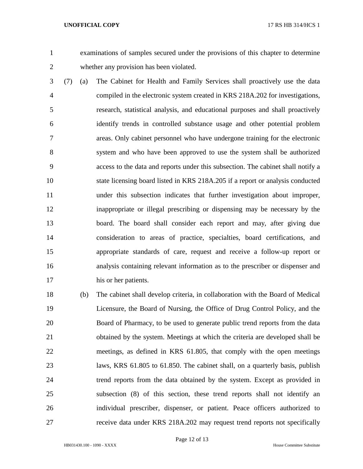examinations of samples secured under the provisions of this chapter to determine whether any provision has been violated.

- (7) (a) The Cabinet for Health and Family Services shall proactively use the data compiled in the electronic system created in KRS 218A.202 for investigations, research, statistical analysis, and educational purposes and shall proactively identify trends in controlled substance usage and other potential problem areas. Only cabinet personnel who have undergone training for the electronic system and who have been approved to use the system shall be authorized access to the data and reports under this subsection. The cabinet shall notify a state licensing board listed in KRS 218A.205 if a report or analysis conducted under this subsection indicates that further investigation about improper, inappropriate or illegal prescribing or dispensing may be necessary by the board. The board shall consider each report and may, after giving due consideration to areas of practice, specialties, board certifications, and appropriate standards of care, request and receive a follow-up report or analysis containing relevant information as to the prescriber or dispenser and his or her patients.
- (b) The cabinet shall develop criteria, in collaboration with the Board of Medical Licensure, the Board of Nursing, the Office of Drug Control Policy, and the Board of Pharmacy, to be used to generate public trend reports from the data obtained by the system. Meetings at which the criteria are developed shall be meetings, as defined in KRS 61.805, that comply with the open meetings laws, KRS 61.805 to 61.850. The cabinet shall, on a quarterly basis, publish trend reports from the data obtained by the system. Except as provided in subsection (8) of this section, these trend reports shall not identify an individual prescriber, dispenser, or patient. Peace officers authorized to receive data under KRS 218A.202 may request trend reports not specifically